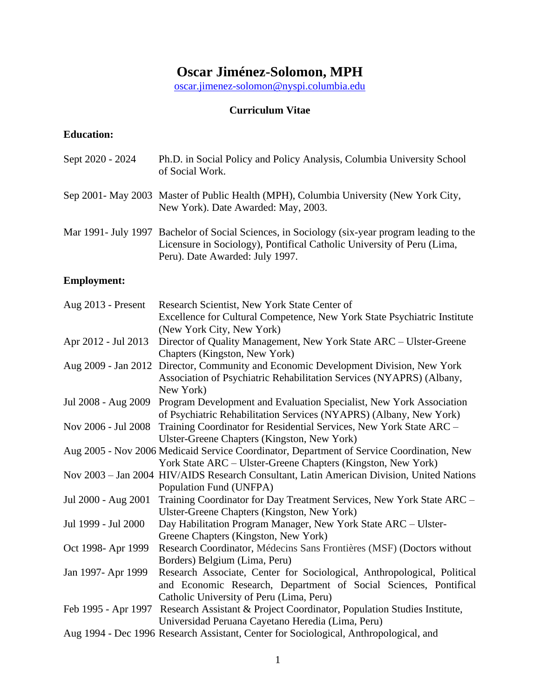# **Oscar Jiménez-Solomon, MPH**

[oscar.jimenez-solomon@nyspi.columbia.edu](mailto:oscar.jimenez-solomon@nyspi.columbia.edu)

## **Curriculum Vitae**

## **Education:**

| Sept 2020 - 2024 | Ph.D. in Social Policy and Policy Analysis, Columbia University School<br>of Social Work.                                                                                                                   |
|------------------|-------------------------------------------------------------------------------------------------------------------------------------------------------------------------------------------------------------|
|                  | Sep 2001 - May 2003 Master of Public Health (MPH), Columbia University (New York City,<br>New York). Date Awarded: May, 2003.                                                                               |
|                  | Mar 1991- July 1997 Bachelor of Social Sciences, in Sociology (six-year program leading to the<br>Licensure in Sociology), Pontifical Catholic University of Peru (Lima,<br>Peru). Date Awarded: July 1997. |

## **Employment:**

| Aug 2013 - Present  | Research Scientist, New York State Center of                                                |
|---------------------|---------------------------------------------------------------------------------------------|
|                     | Excellence for Cultural Competence, New York State Psychiatric Institute                    |
|                     | (New York City, New York)                                                                   |
| Apr 2012 - Jul 2013 | Director of Quality Management, New York State ARC - Ulster-Greene                          |
|                     | Chapters (Kingston, New York)                                                               |
|                     | Aug 2009 - Jan 2012 Director, Community and Economic Development Division, New York         |
|                     | Association of Psychiatric Rehabilitation Services (NYAPRS) (Albany,                        |
|                     | New York)                                                                                   |
| Jul 2008 - Aug 2009 | Program Development and Evaluation Specialist, New York Association                         |
|                     | of Psychiatric Rehabilitation Services (NYAPRS) (Albany, New York)                          |
| Nov 2006 - Jul 2008 | Training Coordinator for Residential Services, New York State ARC -                         |
|                     | Ulster-Greene Chapters (Kingston, New York)                                                 |
|                     | Aug 2005 - Nov 2006 Medicaid Service Coordinator, Department of Service Coordination, New   |
|                     | York State ARC - Ulster-Greene Chapters (Kingston, New York)                                |
|                     | Nov 2003 - Jan 2004 HIV/AIDS Research Consultant, Latin American Division, United Nations   |
|                     | Population Fund (UNFPA)                                                                     |
| Jul 2000 - Aug 2001 | Training Coordinator for Day Treatment Services, New York State ARC -                       |
|                     | Ulster-Greene Chapters (Kingston, New York)                                                 |
| Jul 1999 - Jul 2000 | Day Habilitation Program Manager, New York State ARC – Ulster-                              |
|                     | Greene Chapters (Kingston, New York)                                                        |
| Oct 1998- Apr 1999  | Research Coordinator, Médecins Sans Frontières (MSF) (Doctors without                       |
|                     | Borders) Belgium (Lima, Peru)                                                               |
| Jan 1997- Apr 1999  | Research Associate, Center for Sociological, Anthropological, Political                     |
|                     | and Economic Research, Department of Social Sciences, Pontifical                            |
|                     | Catholic University of Peru (Lima, Peru)                                                    |
|                     | Feb 1995 - Apr 1997 Research Assistant & Project Coordinator, Population Studies Institute, |
|                     | Universidad Peruana Cayetano Heredia (Lima, Peru)                                           |
|                     | Aug 1994 - Dec 1996 Research Assistant, Center for Sociological, Anthropological, and       |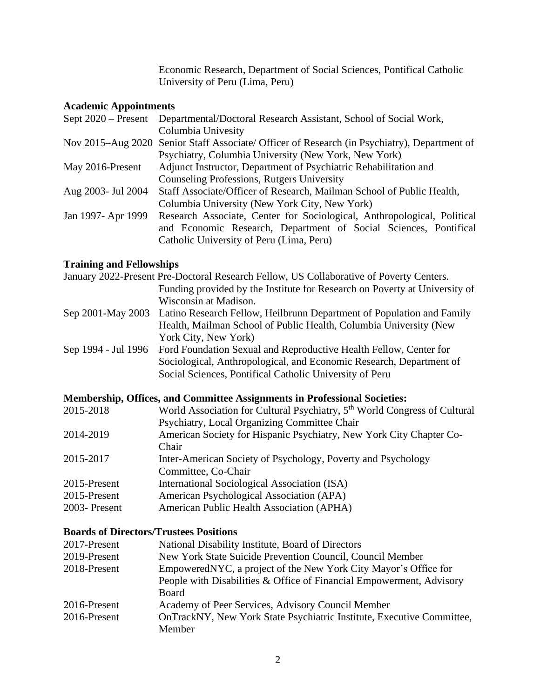Economic Research, Department of Social Sciences, Pontifical Catholic University of Peru (Lima, Peru)

### **Academic Appointments**

| Sept $2020$ – Present | Departmental/Doctoral Research Assistant, School of Social Work,                             |
|-----------------------|----------------------------------------------------------------------------------------------|
|                       | Columbia Univesity                                                                           |
|                       | Nov 2015–Aug 2020 Senior Staff Associate/ Officer of Research (in Psychiatry), Department of |
|                       | Psychiatry, Columbia University (New York, New York)                                         |
| May 2016-Present      | Adjunct Instructor, Department of Psychiatric Rehabilitation and                             |
|                       | Counseling Professions, Rutgers University                                                   |
| Aug 2003- Jul 2004    | Staff Associate/Officer of Research, Mailman School of Public Health,                        |
|                       | Columbia University (New York City, New York)                                                |
| Jan 1997- Apr 1999    | Research Associate, Center for Sociological, Anthropological, Political                      |
|                       | and Economic Research, Department of Social Sciences, Pontifical                             |
|                       | Catholic University of Peru (Lima, Peru)                                                     |

#### **Training and Fellowships**

|                     | January 2022-Present Pre-Doctoral Research Fellow, US Collaborative of Poverty Centers. |
|---------------------|-----------------------------------------------------------------------------------------|
|                     | Funding provided by the Institute for Research on Poverty at University of              |
|                     | Wisconsin at Madison.                                                                   |
| Sep 2001-May 2003   | Latino Research Fellow, Heilbrunn Department of Population and Family                   |
|                     | Health, Mailman School of Public Health, Columbia University (New                       |
|                     | York City, New York)                                                                    |
| Sep 1994 - Jul 1996 | Ford Foundation Sexual and Reproductive Health Fellow, Center for                       |
|                     | Sociological, Anthropological, and Economic Research, Department of                     |
|                     | Social Sciences, Pontifical Catholic University of Peru                                 |
|                     |                                                                                         |

#### **Membership, Offices, and Committee Assignments in Professional Societies:**

| World Association for Cultural Psychiatry, 5 <sup>th</sup> World Congress of Cultural |
|---------------------------------------------------------------------------------------|
| Psychiatry, Local Organizing Committee Chair                                          |
| American Society for Hispanic Psychiatry, New York City Chapter Co-                   |
| Chair.                                                                                |
| Inter-American Society of Psychology, Poverty and Psychology                          |
| Committee, Co-Chair                                                                   |
| International Sociological Association (ISA)                                          |
| American Psychological Association (APA)                                              |
| American Public Health Association (APHA)                                             |
|                                                                                       |

#### **Boards of Directors/Trustees Positions**

| 2017-Present | National Disability Institute, Board of Directors                     |
|--------------|-----------------------------------------------------------------------|
| 2019-Present | New York State Suicide Prevention Council, Council Member             |
| 2018-Present | EmpoweredNYC, a project of the New York City Mayor's Office for       |
|              | People with Disabilities & Office of Financial Empowerment, Advisory  |
|              | Board                                                                 |
| 2016-Present | Academy of Peer Services, Advisory Council Member                     |
| 2016-Present | OnTrackNY, New York State Psychiatric Institute, Executive Committee, |
|              | Member                                                                |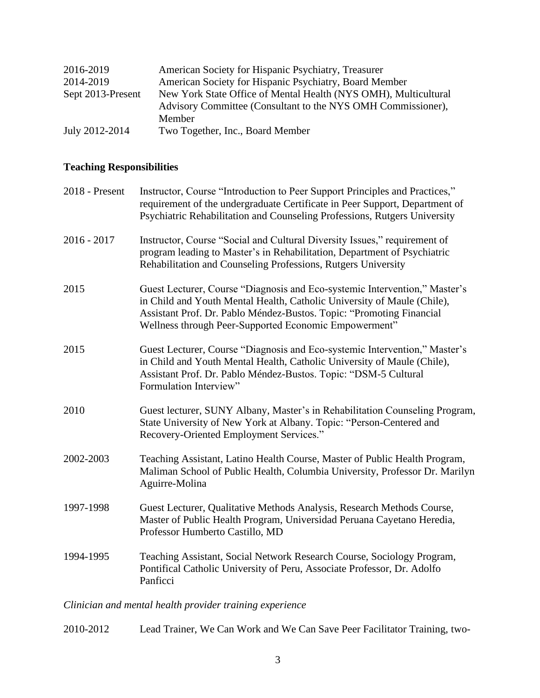| 2016-2019         | American Society for Hispanic Psychiatry, Treasurer             |
|-------------------|-----------------------------------------------------------------|
| 2014-2019         | American Society for Hispanic Psychiatry, Board Member          |
| Sept 2013-Present | New York State Office of Mental Health (NYS OMH), Multicultural |
|                   | Advisory Committee (Consultant to the NYS OMH Commissioner),    |
|                   | Member                                                          |
| July 2012-2014    | Two Together, Inc., Board Member                                |

## **Teaching Responsibilities**

| 2018 - Present | Instructor, Course "Introduction to Peer Support Principles and Practices,"<br>requirement of the undergraduate Certificate in Peer Support, Department of<br>Psychiatric Rehabilitation and Counseling Professions, Rutgers University                                                |
|----------------|----------------------------------------------------------------------------------------------------------------------------------------------------------------------------------------------------------------------------------------------------------------------------------------|
| $2016 - 2017$  | Instructor, Course "Social and Cultural Diversity Issues," requirement of<br>program leading to Master's in Rehabilitation, Department of Psychiatric<br>Rehabilitation and Counseling Professions, Rutgers University                                                                 |
| 2015           | Guest Lecturer, Course "Diagnosis and Eco-systemic Intervention," Master's<br>in Child and Youth Mental Health, Catholic University of Maule (Chile),<br>Assistant Prof. Dr. Pablo Méndez-Bustos. Topic: "Promoting Financial<br>Wellness through Peer-Supported Economic Empowerment" |
| 2015           | Guest Lecturer, Course "Diagnosis and Eco-systemic Intervention," Master's<br>in Child and Youth Mental Health, Catholic University of Maule (Chile),<br>Assistant Prof. Dr. Pablo Méndez-Bustos. Topic: "DSM-5 Cultural<br>Formulation Interview"                                     |
| 2010           | Guest lecturer, SUNY Albany, Master's in Rehabilitation Counseling Program,<br>State University of New York at Albany. Topic: "Person-Centered and<br>Recovery-Oriented Employment Services."                                                                                          |
| 2002-2003      | Teaching Assistant, Latino Health Course, Master of Public Health Program,<br>Maliman School of Public Health, Columbia University, Professor Dr. Marilyn<br>Aguirre-Molina                                                                                                            |
| 1997-1998      | Guest Lecturer, Qualitative Methods Analysis, Research Methods Course,<br>Master of Public Health Program, Universidad Peruana Cayetano Heredia,<br>Professor Humberto Castillo, MD                                                                                                    |
| 1994-1995      | Teaching Assistant, Social Network Research Course, Sociology Program,<br>Pontifical Catholic University of Peru, Associate Professor, Dr. Adolfo<br>Panficci                                                                                                                          |
|                |                                                                                                                                                                                                                                                                                        |

## *Clinician and mental health provider training experience*

2010-2012 Lead Trainer, We Can Work and We Can Save Peer Facilitator Training, two-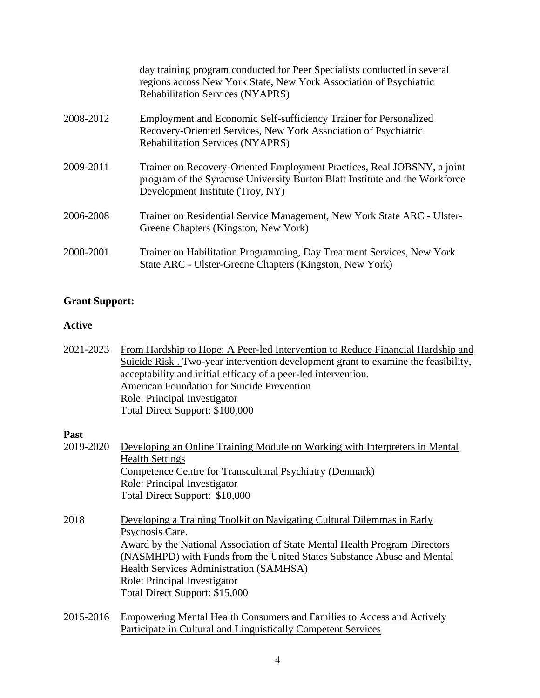|           | day training program conducted for Peer Specialists conducted in several<br>regions across New York State, New York Association of Psychiatric<br><b>Rehabilitation Services (NYAPRS)</b>  |
|-----------|--------------------------------------------------------------------------------------------------------------------------------------------------------------------------------------------|
| 2008-2012 | Employment and Economic Self-sufficiency Trainer for Personalized<br>Recovery-Oriented Services, New York Association of Psychiatric<br><b>Rehabilitation Services (NYAPRS)</b>            |
| 2009-2011 | Trainer on Recovery-Oriented Employment Practices, Real JOBSNY, a joint<br>program of the Syracuse University Burton Blatt Institute and the Workforce<br>Development Institute (Troy, NY) |
| 2006-2008 | Trainer on Residential Service Management, New York State ARC - Ulster-<br>Greene Chapters (Kingston, New York)                                                                            |
| 2000-2001 | Trainer on Habilitation Programming, Day Treatment Services, New York<br>State ARC - Ulster-Greene Chapters (Kingston, New York)                                                           |

### **Grant Support:**

### **Active**

| 2021-2023 | From Hardship to Hope: A Peer-led Intervention to Reduce Financial Hardship and   |
|-----------|-----------------------------------------------------------------------------------|
|           | Suicide Risk. Two-year intervention development grant to examine the feasibility, |
|           | acceptability and initial efficacy of a peer-led intervention.                    |
|           | <b>American Foundation for Suicide Prevention</b>                                 |
|           | Role: Principal Investigator                                                      |
|           | Total Direct Support: \$100,000                                                   |

#### **Past**

| 2019-2020 | Developing an Online Training Module on Working with Interpreters in Mental<br><b>Health Settings</b><br>Competence Centre for Transcultural Psychiatry (Denmark)<br>Role: Principal Investigator<br>Total Direct Support: \$10,000                                                                                                                            |
|-----------|----------------------------------------------------------------------------------------------------------------------------------------------------------------------------------------------------------------------------------------------------------------------------------------------------------------------------------------------------------------|
| 2018      | Developing a Training Toolkit on Navigating Cultural Dilemmas in Early<br>Psychosis Care.<br>Award by the National Association of State Mental Health Program Directors<br>(NASMHPD) with Funds from the United States Substance Abuse and Mental<br>Health Services Administration (SAMHSA)<br>Role: Principal Investigator<br>Total Direct Support: \$15,000 |

2015-2016 Empowering Mental Health Consumers and Families to Access and Actively Participate in Cultural and Linguistically Competent Services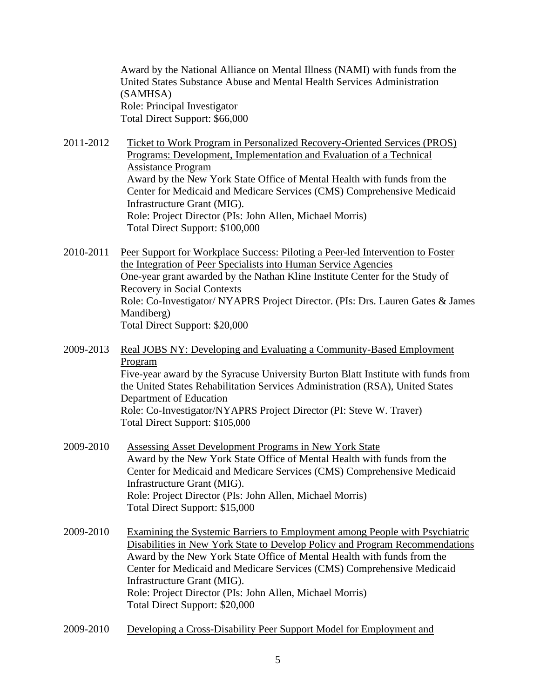Award by the National Alliance on Mental Illness (NAMI) with funds from the United States Substance Abuse and Mental Health Services Administration (SAMHSA) Role: Principal Investigator Total Direct Support: \$66,000

- 2011-2012 Ticket to Work Program in Personalized Recovery-Oriented Services (PROS) Programs: Development, Implementation and Evaluation of a Technical Assistance Program Award by the New York State Office of Mental Health with funds from the Center for Medicaid and Medicare Services (CMS) Comprehensive Medicaid Infrastructure Grant (MIG). Role: Project Director (PIs: John Allen, Michael Morris) Total Direct Support: \$100,000
- 2010-2011 Peer Support for Workplace Success: Piloting a Peer-led Intervention to Foster the Integration of Peer Specialists into Human Service Agencies One-year grant awarded by the Nathan Kline Institute Center for the Study of Recovery in Social Contexts Role: Co-Investigator/ NYAPRS Project Director. (PIs: Drs. Lauren Gates & James Mandiberg) Total Direct Support: \$20,000
- 2009-2013 Real JOBS NY: Developing and Evaluating a Community-Based Employment Program Five-year award by the Syracuse University Burton Blatt Institute with funds from the United States Rehabilitation Services Administration (RSA), United States Department of Education Role: Co-Investigator/NYAPRS Project Director (PI: Steve W. Traver) Total Direct Support: \$105,000
- 2009-2010 Assessing Asset Development Programs in New York State Award by the New York State Office of Mental Health with funds from the Center for Medicaid and Medicare Services (CMS) Comprehensive Medicaid Infrastructure Grant (MIG). Role: Project Director (PIs: John Allen, Michael Morris) Total Direct Support: \$15,000
- 2009-2010 Examining the Systemic Barriers to Employment among People with Psychiatric Disabilities in New York State to Develop Policy and Program Recommendations Award by the New York State Office of Mental Health with funds from the Center for Medicaid and Medicare Services (CMS) Comprehensive Medicaid Infrastructure Grant (MIG). Role: Project Director (PIs: John Allen, Michael Morris) Total Direct Support: \$20,000
- 2009-2010 Developing a Cross-Disability Peer Support Model for Employment and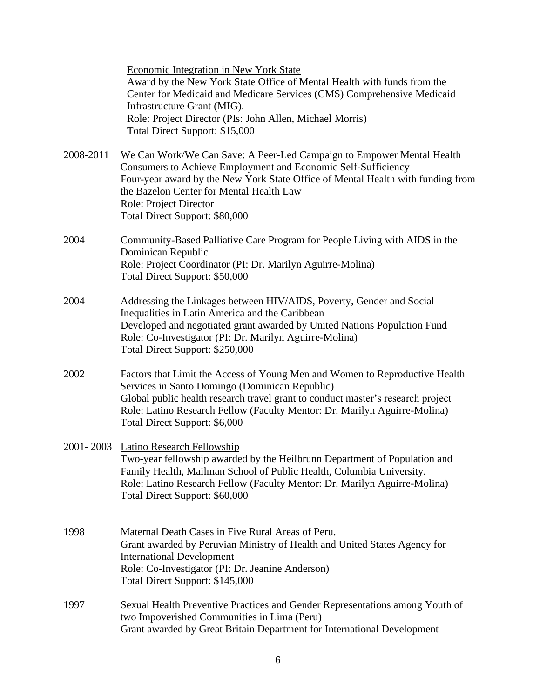Economic Integration in New York State Award by the New York State Office of Mental Health with funds from the Center for Medicaid and Medicare Services (CMS) Comprehensive Medicaid Infrastructure Grant (MIG). Role: Project Director (PIs: John Allen, Michael Morris) Total Direct Support: \$15,000

- 2008-2011 We Can Work/We Can Save: A Peer-Led Campaign to Empower Mental Health Consumers to Achieve Employment and Economic Self-Sufficiency Four-year award by the New York State Office of Mental Health with funding from the Bazelon Center for Mental Health Law Role: Project Director Total Direct Support: \$80,000
- 2004 Community-Based Palliative Care Program for People Living with AIDS in the Dominican Republic Role: Project Coordinator (PI: Dr. Marilyn Aguirre-Molina) Total Direct Support: \$50,000
- 2004 Addressing the Linkages between HIV/AIDS, Poverty, Gender and Social Inequalities in Latin America and the Caribbean Developed and negotiated grant awarded by United Nations Population Fund Role: Co-Investigator (PI: Dr. Marilyn Aguirre-Molina) Total Direct Support: \$250,000
- 2002 Factors that Limit the Access of Young Men and Women to Reproductive Health Services in Santo Domingo (Dominican Republic) Global public health research travel grant to conduct master's research project Role: Latino Research Fellow (Faculty Mentor: Dr. Marilyn Aguirre-Molina) Total Direct Support: \$6,000
- 2001- 2003 Latino Research Fellowship Two-year fellowship awarded by the Heilbrunn Department of Population and Family Health, Mailman School of Public Health, Columbia University. Role: Latino Research Fellow (Faculty Mentor: Dr. Marilyn Aguirre-Molina) Total Direct Support: \$60,000
- 1998 Maternal Death Cases in Five Rural Areas of Peru. Grant awarded by Peruvian Ministry of Health and United States Agency for International Development Role: Co-Investigator (PI: Dr. Jeanine Anderson) Total Direct Support: \$145,000
- 1997 Sexual Health Preventive Practices and Gender Representations among Youth of two Impoverished Communities in Lima (Peru) Grant awarded by Great Britain Department for International Development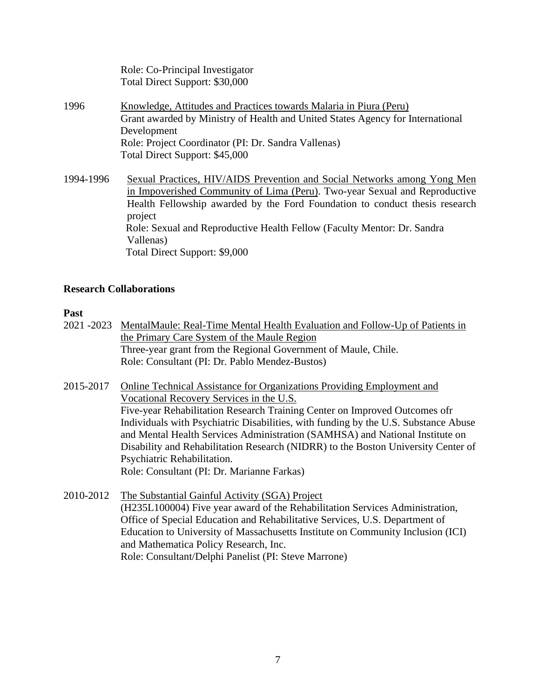|           | Role: Co-Principal Investigator<br>Total Direct Support: \$30,000                                                                                                                                                                                                                                                                        |
|-----------|------------------------------------------------------------------------------------------------------------------------------------------------------------------------------------------------------------------------------------------------------------------------------------------------------------------------------------------|
| 1996      | Knowledge, Attitudes and Practices towards Malaria in Piura (Peru)<br>Grant awarded by Ministry of Health and United States Agency for International<br>Development<br>Role: Project Coordinator (PI: Dr. Sandra Vallenas)<br>Total Direct Support: \$45,000                                                                             |
| 1994-1996 | Sexual Practices, HIV/AIDS Prevention and Social Networks among Yong Men<br>in Impoverished Community of Lima (Peru). Two-year Sexual and Reproductive<br>Health Fellowship awarded by the Ford Foundation to conduct thesis research<br>project<br>Role: Sexual and Reproductive Health Fellow (Faculty Mentor: Dr. Sandra<br>Vallenas) |

#### **Research Collaborations**

Total Direct Support: \$9,000

#### **Past**

- 2021 -2023 MentalMaule: Real-Time Mental Health Evaluation and Follow-Up of Patients in the Primary Care System of the Maule Region Three-year grant from the Regional Government of Maule, Chile. Role: Consultant (PI: Dr. Pablo Mendez-Bustos)
- 2015-2017 Online Technical Assistance for Organizations Providing Employment and Vocational Recovery Services in the U.S. Five-year Rehabilitation Research Training Center on Improved Outcomes ofr Individuals with Psychiatric Disabilities, with funding by the U.S. Substance Abuse and Mental Health Services Administration (SAMHSA) and National Institute on Disability and Rehabilitation Research (NIDRR) to the Boston University Center of Psychiatric Rehabilitation. Role: Consultant (PI: Dr. Marianne Farkas)
- 2010-2012 The Substantial Gainful Activity (SGA) Project (H235L100004) Five year award of the Rehabilitation Services Administration, Office of Special Education and Rehabilitative Services, U.S. Department of Education to University of Massachusetts Institute on Community Inclusion (ICI) and Mathematica Policy Research, Inc. Role: Consultant/Delphi Panelist (PI: Steve Marrone)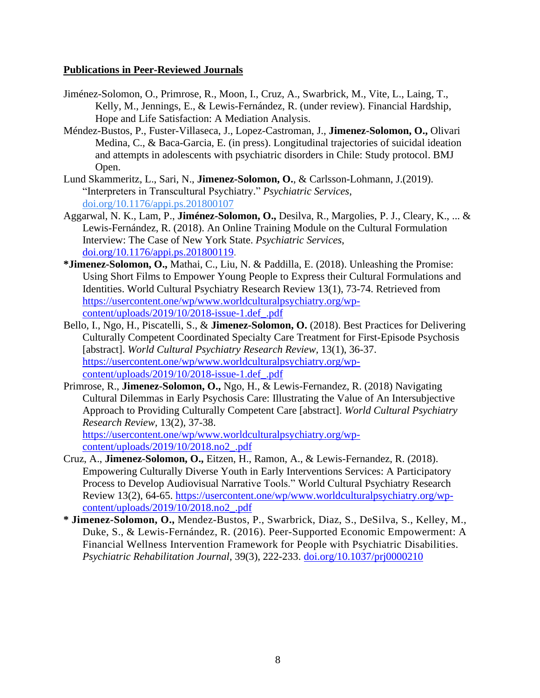#### **Publications in Peer-Reviewed Journals**

- Jiménez-Solomon, O., Primrose, R., Moon, I., Cruz, A., Swarbrick, M., Vite, L., Laing, T., Kelly, M., Jennings, E., & Lewis-Fernández, R. (under review). Financial Hardship, Hope and Life Satisfaction: A Mediation Analysis.
- Méndez-Bustos, P., Fuster-Villaseca, J., Lopez-Castroman, J., **Jimenez-Solomon, O.,** Olivari Medina, C., & Baca-Garcia, E. (in press). Longitudinal trajectories of suicidal ideation and attempts in adolescents with psychiatric disorders in Chile: Study protocol. BMJ Open.
- Lund Skammeritz, L., Sari, N., **Jimenez-Solomon, O.**, & Carlsson-Lohmann, J.(2019). "Interpreters in Transcultural Psychiatry." *Psychiatric Services*, [doi.org/10.1176/appi.ps.201800107](https://doi.org/10.1176/appi.ps.201800107)
- Aggarwal, N. K., Lam, P., **Jiménez-Solomon, O.,** Desilva, R., Margolies, P. J., Cleary, K., ... & Lewis-Fernández, R. (2018). An Online Training Module on the Cultural Formulation Interview: The Case of New York State. *Psychiatric Services*, [doi.org/10.1176/appi.ps.201800119.](https://doi.org/10.1176/appi.ps.201800119)
- **\*Jimenez-Solomon, O.,** Mathai, C., Liu, N. & Paddilla, E. (2018). Unleashing the Promise: Using Short Films to Empower Young People to Express their Cultural Formulations and Identities. World Cultural Psychiatry Research Review 13(1), 73-74. Retrieved from [https://usercontent.one/wp/www.worldculturalpsychiatry.org/wp](https://usercontent.one/wp/www.worldculturalpsychiatry.org/wp-content/uploads/2019/10/2018-issue-1.def_.pdf)[content/uploads/2019/10/2018-issue-1.def\\_.pdf](https://usercontent.one/wp/www.worldculturalpsychiatry.org/wp-content/uploads/2019/10/2018-issue-1.def_.pdf)
- Bello, I., Ngo, H., Piscatelli, S., & **Jimenez-Solomon, O.** (2018). Best Practices for Delivering Culturally Competent Coordinated Specialty Care Treatment for First-Episode Psychosis [abstract]. *World Cultural Psychiatry Research Review,* 13(1), 36-37. [https://usercontent.one/wp/www.worldculturalpsychiatry.org/wp](https://usercontent.one/wp/www.worldculturalpsychiatry.org/wp-content/uploads/2019/10/2018-issue-1.def_.pdf)[content/uploads/2019/10/2018-issue-1.def\\_.pdf](https://usercontent.one/wp/www.worldculturalpsychiatry.org/wp-content/uploads/2019/10/2018-issue-1.def_.pdf)
- Primrose, R., **Jimenez-Solomon, O.,** Ngo, H., & Lewis-Fernandez, R. (2018) Navigating Cultural Dilemmas in Early Psychosis Care: Illustrating the Value of An Intersubjective Approach to Providing Culturally Competent Care [abstract]. *World Cultural Psychiatry Research Review,* 13(2), 37-38. [https://usercontent.one/wp/www.worldculturalpsychiatry.org/wp-](https://usercontent.one/wp/www.worldculturalpsychiatry.org/wp-content/uploads/2019/10/2018.no2_.pdf)

[content/uploads/2019/10/2018.no2\\_.pdf](https://usercontent.one/wp/www.worldculturalpsychiatry.org/wp-content/uploads/2019/10/2018.no2_.pdf)

- Cruz, A., **Jimenez-Solomon, O.,** Eitzen, H., Ramon, A., & Lewis-Fernandez, R. (2018). Empowering Culturally Diverse Youth in Early Interventions Services: A Participatory Process to Develop Audiovisual Narrative Tools." World Cultural Psychiatry Research Review 13(2), 64-65. [https://usercontent.one/wp/www.worldculturalpsychiatry.org/wp](https://usercontent.one/wp/www.worldculturalpsychiatry.org/wp-content/uploads/2019/10/2018.no2_.pdf)[content/uploads/2019/10/2018.no2\\_.pdf](https://usercontent.one/wp/www.worldculturalpsychiatry.org/wp-content/uploads/2019/10/2018.no2_.pdf)
- **\* Jimenez-Solomon, O.,** Mendez-Bustos, P., Swarbrick, Diaz, S., DeSilva, S., Kelley, M., Duke, S., & Lewis-Fernández, R. (2016). Peer-Supported Economic Empowerment: A Financial Wellness Intervention Framework for People with Psychiatric Disabilities. *Psychiatric Rehabilitation Journal*, 39(3), 222-233. [doi.org/10.1037/prj0000210](http://psycnet.apa.org/doi/10.1037/prj0000210)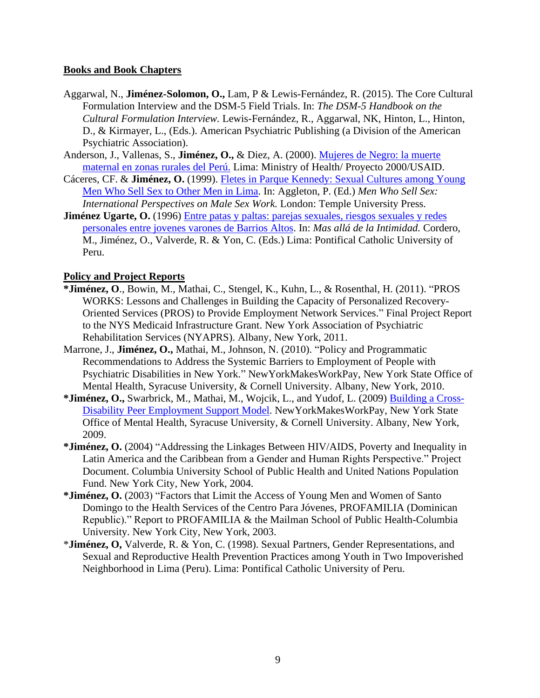#### **Books and Book Chapters**

- Aggarwal, N., **Jiménez-Solomon, O.,** Lam, P & Lewis-Fernández, R. (2015). The Core Cultural Formulation Interview and the DSM-5 Field Trials. In: *The DSM-5 Handbook on the Cultural Formulation Interview.* [Lewis-Fernández,](https://www.appi.org/home/search-results?findmethis=Roberto%20Lewis-Fern%C3%A1ndez&product=true) R., Aggarwal, NK, Hinton, L., [Hinton,](https://www.appi.org/home/search-results?findmethis=Devon%20E.%20Hinton&product=true) D., & [Kirmayer,](https://www.appi.org/home/search-results?findmethis=Laurence%20J.%20Kirmayer&product=true) L., (Eds.). American Psychiatric Publishing (a Division of the American Psychiatric Association).
- Anderson, J., Vallenas, S., **Jiménez, O.,** & Diez, A. (2000). [Mujeres de Negro: la muerte](https://www.gob.pe/institucion/minsa/informes-publicaciones/353284-mujeres-de-negro-la-muerte-materna-en-zonas-rurales-del-peru-estudio-de-casos)  [maternal en zonas rurales del Perú.](https://www.gob.pe/institucion/minsa/informes-publicaciones/353284-mujeres-de-negro-la-muerte-materna-en-zonas-rurales-del-peru-estudio-de-casos) Lima: Ministry of Health/ Proyecto 2000/USAID.
- Cáceres, CF. & **Jiménez, O.** (1999). [Fletes in Parque Kennedy: Sexual Cultures among Young](https://www.taylorfrancis.com/books/e/9780203024638/chapters/10.4324/9780203024638-13)  [Men Who Sell Sex to Other Men in Lima.](https://www.taylorfrancis.com/books/e/9780203024638/chapters/10.4324/9780203024638-13) In: Aggleton, P. (Ed.) *Men Who Sell Sex: International Perspectives on Male Sex Work.* London: Temple University Press.
- **Jiménez Ugarte, O.** (1996) [Entre patas y paltas: parejas sexuales, riesgos sexuales y redes](http://www.eurosur.org/FLACSO/bibliomasc.htm)  personales [entre jovenes varones de Barrios Altos.](http://www.eurosur.org/FLACSO/bibliomasc.htm) In: *Mas allá de la Intimidad.* Cordero, M., Jiménez, O., Valverde, R. & Yon, C. (Eds.) Lima: Pontifical Catholic University of Peru.

#### **Policy and Project Reports**

- **\*Jiménez, O**., Bowin, M., Mathai, C., Stengel, K., Kuhn, L., & Rosenthal, H. (2011). "PROS WORKS: Lessons and Challenges in Building the Capacity of Personalized Recovery-Oriented Services (PROS) to Provide Employment Network Services." Final Project Report to the NYS Medicaid Infrastructure Grant. New York Association of Psychiatric Rehabilitation Services (NYAPRS). Albany, New York, 2011.
- Marrone, J., **Jiménez, O.,** Mathai, M., Johnson, N. (2010). "Policy and Programmatic Recommendations to Address the Systemic Barriers to Employment of People with Psychiatric Disabilities in New York." NewYorkMakesWorkPay, New York State Office of Mental Health, Syracuse University, & Cornell University. Albany, New York, 2010.
- **\*Jiménez, O.,** Swarbrick, M., Mathai, M., Wojcik, L., and Yudof, L. (2009) [Building a Cross-](http://www.nymakesworkpay.org/docs/Peer_Employment_Support_Report.pdf)Disability [Peer Employment Support Model.](http://www.nymakesworkpay.org/docs/Peer_Employment_Support_Report.pdf) NewYorkMakesWorkPay, New York State Office of Mental Health, Syracuse University, & Cornell University. Albany, New York, 2009.
- **\*Jiménez, O.** (2004) "Addressing the Linkages Between HIV/AIDS, Poverty and Inequality in Latin America and the Caribbean from a Gender and Human Rights Perspective." Project Document. Columbia University School of Public Health and United Nations Population Fund. New York City, New York, 2004.
- **\*Jiménez, O.** (2003) "Factors that Limit the Access of Young Men and Women of Santo Domingo to the Health Services of the Centro Para Jóvenes, PROFAMILIA (Dominican Republic)." Report to PROFAMILIA & the Mailman School of Public Health-Columbia University. New York City, New York, 2003.
- \***Jiménez, O,** Valverde, R. & Yon, C. (1998). Sexual Partners, Gender Representations, and Sexual and Reproductive Health Prevention Practices among Youth in Two Impoverished Neighborhood in Lima (Peru). Lima: Pontifical Catholic University of Peru.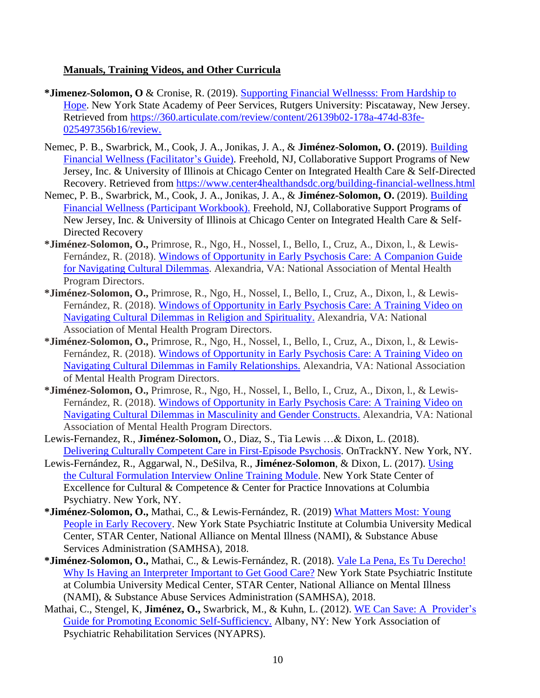#### **Manuals, Training Videos, and Other Curricula**

- **\*Jimenez-Solomon, O** & Cronise, R. (2019). [Supporting Financial Wellnesss: From Hardship](https://360.articulate.com/review/content/26139b02-178a-474d-83fe-025497356b16/review) to [Hope.](https://360.articulate.com/review/content/26139b02-178a-474d-83fe-025497356b16/review) New York State Academy of Peer Services, Rutgers University: Piscataway, New Jersey. Retrieved from [https://360.articulate.com/review/content/26139b02-178a-474d-83fe-](https://360.articulate.com/review/content/26139b02-178a-474d-83fe-025497356b16/review)[025497356b16/review.](https://360.articulate.com/review/content/26139b02-178a-474d-83fe-025497356b16/review)
- Nemec, P. B., Swarbrick, M., Cook, J. A., Jonikas, J. A., & **Jiménez-Solomon, O. (**2019). [Building](https://www.center4healthandsdc.org/building-financial-wellness.html)  [Financial Wellness \(Facilitator's Guide\).](https://www.center4healthandsdc.org/building-financial-wellness.html) Freehold, NJ, Collaborative Support Programs of New Jersey, Inc. & University of Illinois at Chicago Center on Integrated Health Care & Self-Directed Recovery. Retrieved from<https://www.center4healthandsdc.org/building-financial-wellness.html>
- Nemec, P. B., Swarbrick, M., Cook, J. A., Jonikas, J. A., & **Jiménez-Solomon, O.** (2019). [Building](https://www.center4healthandsdc.org/building-financial-wellness.html)  [Financial Wellness \(Participant Workbook\).](https://www.center4healthandsdc.org/building-financial-wellness.html) Freehold, NJ, Collaborative Support Programs of New Jersey, Inc. & University of Illinois at Chicago Center on Integrated Health Care & Self-Directed Recovery
- **\*Jiménez-Solomon, O.,** Primrose, R., Ngo, H., Nossel, I., Bello, I., Cruz, A., Dixon, l., & Lewis-Fernández, R. (2018). [Windows of Opportunity in Early Psychosis Care: A Companion Guide](https://www.nasmhpd.org/sites/default/files/videos/converted/3115/Training_Guide_Windows_of_Opportunity_Videos.pdf)  [for Navigating Cultural Dilemmas.](https://www.nasmhpd.org/sites/default/files/videos/converted/3115/Training_Guide_Windows_of_Opportunity_Videos.pdf) Alexandria, VA: National Association of Mental Health Program Directors.
- **\*Jiménez-Solomon, O.,** Primrose, R., Ngo, H., Nossel, I., Bello, I., Cruz, A., Dixon, l., & Lewis-Fernández, R. (2018). Windows of Opportunity in Early [Psychosis Care: A Training Video on](https://www.nasmhpd.org/content/navigating-cultural-dilemmas-about-religion-and-spirituality-0)  [Navigating Cultural Dilemmas in Religion and Spirituality.](https://www.nasmhpd.org/content/navigating-cultural-dilemmas-about-religion-and-spirituality-0) Alexandria, VA: National Association of Mental Health Program Directors.
- **\*Jiménez-Solomon, O.,** Primrose, R., Ngo, H., Nossel, I., Bello, I., Cruz, A., Dixon, l., & Lewis-Fernández, R. (2018). Windows of Opportunity in Early Psychosis Care: A Training Video on [Navigating Cultural Dilemmas in Family Relationships.](https://www.nasmhpd.org/content/navigating-cultural-dilemmas-about-family-relationships) Alexandria, VA: National Association of Mental Health Program Directors.
- **\*Jiménez-Solomon, O.,** Primrose, R., Ngo, H., Nossel, I., Bello, I., Cruz, A., Dixon, l., & Lewis-Fernández, R. (2018). [Windows of Opportunity in Early Psychosis](https://www.nasmhpd.org/content/navigating-cultural-dilemmas-about-masculinity-and-gender-constructs) Care: A Training Video on [Navigating Cultural Dilemmas in Masculinity and Gender](https://www.nasmhpd.org/content/navigating-cultural-dilemmas-about-masculinity-and-gender-constructs) Constructs. Alexandria, VA: National Association of Mental Health Program Directors.
- Lewis-Fernandez, R., **Jiménez-Solomon,** O., Diaz, S., Tia Lewis …& Dixon, L. (2018). Delivering [Culturally Competent Care in First-Episode Psychosis.](http://ontrackny.org/Portals/1/Files/Resources/OnTrackNY%20Cultural%20Competency%20Guide_%20Final%205.29.18.pdf?ver=2018-06-07-11044/) OnTrackNY. New York, NY.
- Lewis-Fernández, R., Aggarwal, N., DeSilva, R., **Jiménez-Solomon**, & Dixon, L. (2017). [Using](http://nyculturalcompetence.org/cfionlinemodule/)  [the Cultural Formulation Interview](http://nyculturalcompetence.org/cfionlinemodule/) Online Training Module. New York State Center of Excellence for Cultural & Competence & Center for Practice Innovations at Columbia Psychiatry. New York, NY.
- **\*Jiménez-Solomon, O.,** Mathai, C., & Lewis-Fernández, R. (2019) [What Matters Most: Young](http://whatmattersmost.site/) [People in Early Recovery.](http://whatmattersmost.site/) New York State Psychiatric Institute at Columbia University Medical Center, STAR Center, National Alliance on Mental Illness (NAMI), & Substance Abuse Services Administration (SAMHSA), 2018.
- **\*Jiménez-Solomon, O.,** Mathai, C., & Lewis-Fernández, R. (2018). [Vale La Pena, Es Tu Derecho!](https://www.dropbox.com/s/0td4w03d21rxyho/Vale%20la%20Pena_Your%20Right%20to%20Having%20an%20Interpreter%20in%20Mental%20Health%20Settings_Spanish.mov?dl=0)  [Why Is Having an Interpreter Important to Get Good Care?](https://www.dropbox.com/s/0td4w03d21rxyho/Vale%20la%20Pena_Your%20Right%20to%20Having%20an%20Interpreter%20in%20Mental%20Health%20Settings_Spanish.mov?dl=0) New York State Psychiatric Institute at Columbia University Medical Center, STAR Center, National Alliance on Mental Illness (NAMI), & Substance Abuse Services Administration (SAMHSA), 2018.
- Mathai, C., Stengel, K, **Jiménez, O.,** Swarbrick, M., & Kuhn, L. (2012). [WE Can Save: A Provider's](http://www.nyaprs.org/community-economic-development/toolkit/documents/WSSproviderfinal2012_003.pdf)  [Guide for Promoting Economic Self-Sufficiency.](http://www.nyaprs.org/community-economic-development/toolkit/documents/WSSproviderfinal2012_003.pdf) Albany, NY: New York Association of Psychiatric Rehabilitation Services (NYAPRS).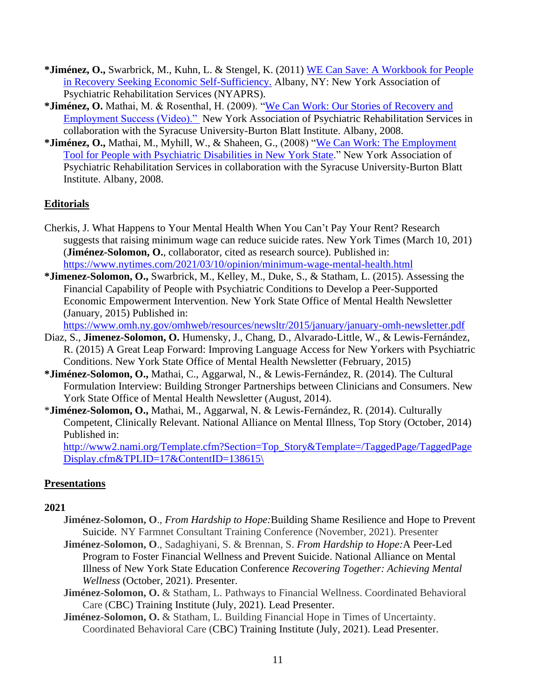- **\*Jiménez, O.,** Swarbrick, M., Kuhn, L. & Stengel, K. (2011) [WE Can Save: A Workbook for](http://www.nyaprs.org/community-economic-development/toolkit/documents/WCSparticipantworkbookfinal.pdf) People [in Recovery Seeking Economic Self-Sufficiency.](http://www.nyaprs.org/community-economic-development/toolkit/documents/WCSparticipantworkbookfinal.pdf) Albany, NY: New York Association of Psychiatric Rehabilitation Services (NYAPRS).
- **\*Jiménez, O.** Mathai, M. & Rosenthal, H. (2009). ["We Can Work: Our Stories of Recovery and](https://youtu.be/dC4FQpn0Fko)  [Employment Success \(Video\)."](https://youtu.be/dC4FQpn0Fko) New York Association of Psychiatric Rehabilitation Services in collaboration with the Syracuse University-Burton Blatt Institute. Albany, 2008.
- **\*Jiménez, O.,** Mathai, M., Myhill, W., & Shaheen, G., (2008) ["We Can Work: The Employment](https://static1.squarespace.com/static/58739f64e6f2e14a3527a002/t/5a7369100852293130ad4d6a/1517512979472/WeCanWorkFinal_000.pdf)  [Tool for People with Psychiatric Disabilities in New York State.](https://static1.squarespace.com/static/58739f64e6f2e14a3527a002/t/5a7369100852293130ad4d6a/1517512979472/WeCanWorkFinal_000.pdf)" New York Association of Psychiatric Rehabilitation Services in collaboration with the Syracuse University-Burton Blatt Institute. Albany, 2008.

### **Editorials**

- Cherkis, J. What Happens to Your Mental Health When You Can't Pay Your Rent? Research suggests that raising minimum wage can reduce suicide rates. New York Times (March 10, 201) (**Jiménez-Solomon, O.**, collaborator, cited as research source). Published in: <https://www.nytimes.com/2021/03/10/opinion/minimum-wage-mental-health.html>
- **\*Jimenez-Solomon, O.,** Swarbrick, M., Kelley, M., Duke, S., & Statham, L. (2015). Assessing the Financial Capability of People with Psychiatric Conditions to Develop a Peer-Supported Economic Empowerment Intervention. New York State Office of Mental Health Newsletter (January, 2015) Published in:

<https://www.omh.ny.gov/omhweb/resources/newsltr/2015/january/january-omh-newsletter.pdf>

- Diaz, S., **Jimenez-Solomon, O.** Humensky, J., Chang, D., Alvarado-Little, W., & Lewis-Fernández, R. (2015) A Great Leap Forward: Improving Language Access for New Yorkers with Psychiatric Conditions. New York State Office of Mental Health Newsletter (February, 2015)
- **\*Jiménez-Solomon, O.,** Mathai, C., Aggarwal, N., & Lewis-Fernández, R. (2014). The Cultural Formulation Interview: Building Stronger Partnerships between Clinicians and Consumers. New York State Office of Mental Health Newsletter (August, 2014).
- \***Jiménez-Solomon, O.,** Mathai, M., Aggarwal, N. & Lewis-Fernández, R. (2014). Culturally Competent, Clinically Relevant. National Alliance on Mental Illness, Top Story (October, 2014) Published in:

[http://www2.nami.org/Template.cfm?Section=Top\\_Story&Template=/TaggedPage/TaggedPage](http://www2.nami.org/Template.cfm?Section=Top_Story&Template=/TaggedPage/TaggedPageDisplay.cfm&TPLID=17&ContentID=138615/) [Display.cfm&TPLID=17&ContentID=138615\](http://www2.nami.org/Template.cfm?Section=Top_Story&Template=/TaggedPage/TaggedPageDisplay.cfm&TPLID=17&ContentID=138615/)

### **Presentations**

#### **2021**

- **Jiménez-Solomon, O**., *From Hardship to Hope:*Building Shame Resilience and Hope to Prevent Suicide. NY Farmnet Consultant Training Conference (November, 2021). Presenter
- **Jiménez-Solomon, O**., Sadaghiyani, S. & Brennan, S. *From Hardship to Hope:*A Peer-Led Program to Foster Financial Wellness and Prevent Suicide. National Alliance on Mental Illness of New York State Education Conference *Recovering Together: Achieving Mental Wellness* (October, 2021). Presenter.
- **Jiménez-Solomon, O.** & Statham, L. Pathways to Financial Wellness. Coordinated Behavioral Care (CBC) Training Institute (July, 2021). Lead Presenter.
- **Jiménez-Solomon, O.** & Statham, L. Building Financial Hope in Times of Uncertainty. Coordinated Behavioral Care (CBC) Training Institute (July, 2021). Lead Presenter.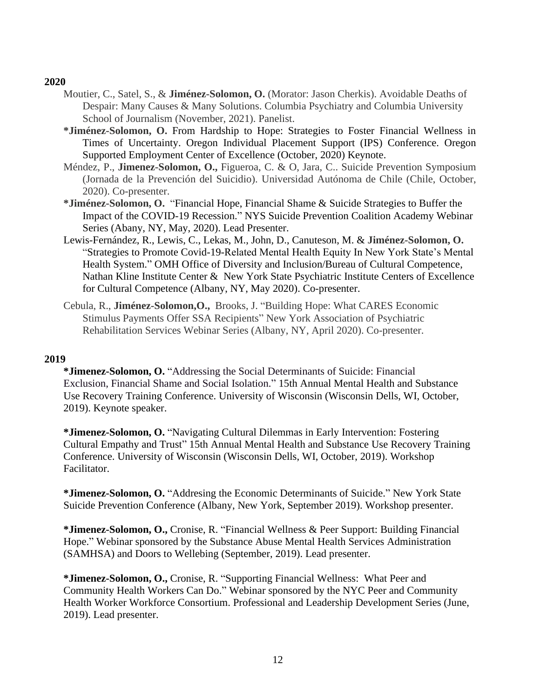#### **2020**

- Moutier, C., Satel, S., & **Jiménez-Solomon, O.** (Morator: Jason Cherkis). Avoidable Deaths of Despair: Many Causes & Many Solutions. Columbia Psychiatry and Columbia University School of Journalism (November, 2021). Panelist.
- **\*Jiménez-Solomon, O.** From Hardship to Hope: Strategies to Foster Financial Wellness in Times of Uncertainty. Oregon Individual Placement Support (IPS) Conference. Oregon Supported Employment Center of Excellence (October, 2020) Keynote.
- Méndez, P., **Jimenez-Solomon, O.,** Figueroa, C. & O, Jara, C.. Suicide Prevention Symposium (Jornada de la Prevención del Suicidio). Universidad Autónoma de Chile (Chile, October, 2020). Co-presenter.
- **\*Jiménez-Solomon, O.** "Financial Hope, Financial Shame & Suicide Strategies to Buffer the Impact of the COVID-19 Recession." NYS Suicide Prevention Coalition Academy Webinar Series (Abany, NY, May, 2020). Lead Presenter.
- Lewis-Fernández, R., Lewis, C., Lekas, M., John, D., Canuteson, M. & **Jiménez-Solomon, O.** "Strategies to Promote Covid-19-Related Mental Health Equity In New York State's Mental Health System." OMH Office of Diversity and Inclusion/Bureau of Cultural Competence, Nathan Kline Institute Center & New York State Psychiatric Institute Centers of Excellence for Cultural Competence (Albany, NY, May 2020). Co-presenter.
- Cebula, R., **Jiménez-Solomon,O.,** Brooks, J. "Building Hope: What CARES Economic Stimulus Payments Offer SSA Recipients" New York Association of Psychiatric Rehabilitation Services Webinar Series (Albany, NY, April 2020). Co-presenter.

#### **2019**

**\*Jimenez-Solomon, O.** "Addressing the Social Determinants of Suicide: Financial Exclusion, Financial Shame and Social Isolation." 15th Annual Mental Health and Substance Use Recovery Training Conference. University of Wisconsin (Wisconsin Dells, WI, October, 2019). Keynote speaker.

**\*Jimenez-Solomon, O.** "Navigating Cultural Dilemmas in Early Intervention: Fostering Cultural Empathy and Trust" 15th Annual Mental Health and Substance Use Recovery Training Conference. University of Wisconsin (Wisconsin Dells, WI, October, 2019). Workshop Facilitator.

**\*Jimenez-Solomon, O.** "Addresing the Economic Determinants of Suicide." New York State Suicide Prevention Conference (Albany, New York, September 2019). Workshop presenter.

**\*Jimenez-Solomon, O.,** Cronise, R. "Financial Wellness & Peer Support: Building Financial Hope." Webinar sponsored by the Substance Abuse Mental Health Services Administration (SAMHSA) and Doors to Wellebing (September, 2019). Lead presenter.

**\*Jimenez-Solomon, O.,** Cronise, R. "Supporting Financial Wellness: What Peer and Community Health Workers Can Do." Webinar sponsored by the NYC Peer and Community Health Worker Workforce Consortium. Professional and Leadership Development Series (June, 2019). Lead presenter.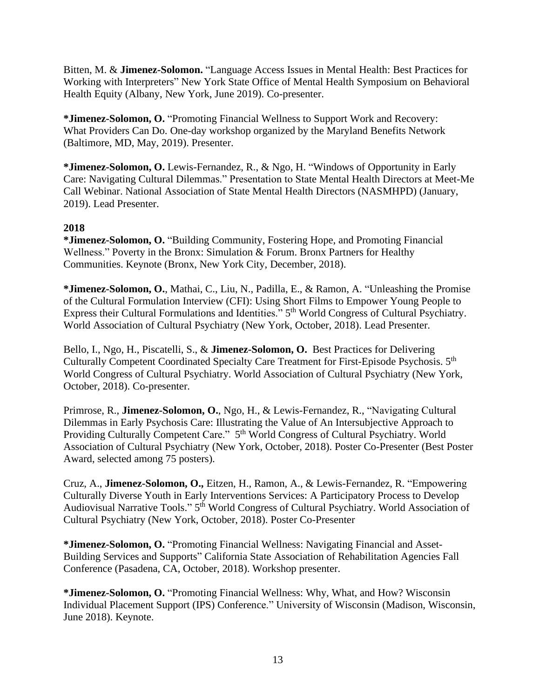Bitten, M. & **Jimenez-Solomon.** "Language Access Issues in Mental Health: Best Practices for Working with Interpreters" New York State Office of Mental Health Symposium on Behavioral Health Equity (Albany, New York, June 2019). Co-presenter.

**\*Jimenez-Solomon, O.** "Promoting Financial Wellness to Support Work and Recovery: What Providers Can Do. One-day workshop organized by the Maryland Benefits Network (Baltimore, MD, May, 2019). Presenter.

**\*Jimenez-Solomon, O.** Lewis-Fernandez, R., & Ngo, H. "Windows of Opportunity in Early Care: Navigating Cultural Dilemmas." Presentation to State Mental Health Directors at Meet-Me Call Webinar. National Association of State Mental Health Directors (NASMHPD) (January, 2019). Lead Presenter.

#### **2018**

**\*Jimenez-Solomon, O.** "Building Community, Fostering Hope, and Promoting Financial Wellness." Poverty in the Bronx: Simulation & Forum. Bronx Partners for Healthy Communities. Keynote (Bronx, New York City, December, 2018).

**\*Jimenez-Solomon, O.**, Mathai, C., Liu, N., Padilla, E., & Ramon, A. "Unleashing the Promise of the Cultural Formulation Interview (CFI): Using Short Films to Empower Young People to Express their Cultural Formulations and Identities." 5<sup>th</sup> World Congress of Cultural Psychiatry. World Association of Cultural Psychiatry (New York, October, 2018). Lead Presenter.

Bello, I., Ngo, H., Piscatelli, S., & **Jimenez-Solomon, O.** Best Practices for Delivering Culturally Competent Coordinated Specialty Care Treatment for First-Episode Psychosis. 5<sup>th</sup> World Congress of Cultural Psychiatry. World Association of Cultural Psychiatry (New York, October, 2018). Co-presenter.

Primrose, R., **Jimenez-Solomon, O.**, Ngo, H., & Lewis-Fernandez, R., "Navigating Cultural Dilemmas in Early Psychosis Care: Illustrating the Value of An Intersubjective Approach to Providing Culturally Competent Care." 5<sup>th</sup> World Congress of Cultural Psychiatry. World Association of Cultural Psychiatry (New York, October, 2018). Poster Co-Presenter (Best Poster Award, selected among 75 posters).

Cruz, A., **Jimenez-Solomon, O.,** Eitzen, H., Ramon, A., & Lewis-Fernandez, R. "Empowering Culturally Diverse Youth in Early Interventions Services: A Participatory Process to Develop Audiovisual Narrative Tools." 5<sup>th</sup> World Congress of Cultural Psychiatry. World Association of Cultural Psychiatry (New York, October, 2018). Poster Co-Presenter

**\*Jimenez-Solomon, O.** "Promoting Financial Wellness: Navigating Financial and Asset-Building Services and Supports" California State Association of Rehabilitation Agencies Fall Conference (Pasadena, CA, October, 2018). Workshop presenter.

**\*Jimenez-Solomon, O.** "Promoting Financial Wellness: Why, What, and How? Wisconsin Individual Placement Support (IPS) Conference." University of Wisconsin (Madison, Wisconsin, June 2018). Keynote.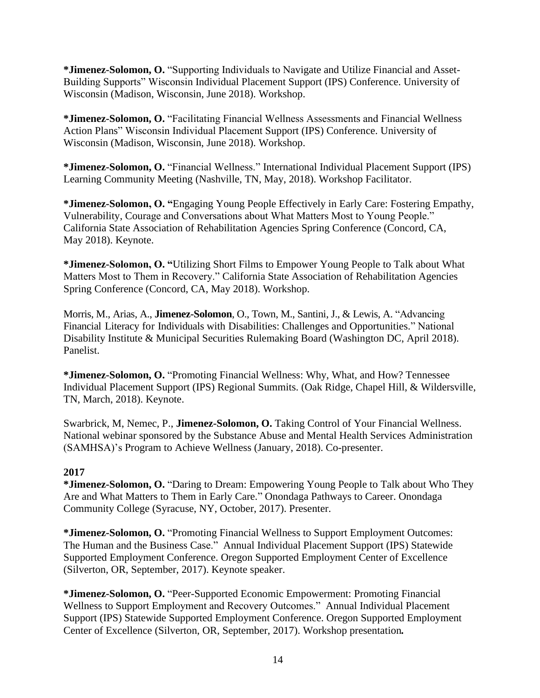**\*Jimenez-Solomon, O.** "Supporting Individuals to Navigate and Utilize Financial and Asset-Building Supports" Wisconsin Individual Placement Support (IPS) Conference. University of Wisconsin (Madison, Wisconsin, June 2018). Workshop.

**\*Jimenez-Solomon, O.** "Facilitating Financial Wellness Assessments and Financial Wellness Action Plans" Wisconsin Individual Placement Support (IPS) Conference. University of Wisconsin (Madison, Wisconsin, June 2018). Workshop.

**\*Jimenez-Solomon, O.** "Financial Wellness." International Individual Placement Support (IPS) Learning Community Meeting (Nashville, TN, May, 2018). Workshop Facilitator.

**\*Jimenez-Solomon, O. "**Engaging Young People Effectively in Early Care: Fostering Empathy, Vulnerability, Courage and Conversations about What Matters Most to Young People." California State Association of Rehabilitation Agencies Spring Conference (Concord, CA, May 2018). Keynote.

**\*Jimenez-Solomon, O. "**Utilizing Short Films to Empower Young People to Talk about What Matters Most to Them in Recovery." California State Association of Rehabilitation Agencies Spring Conference (Concord, CA, May 2018). Workshop.

Morris, M., Arias, A., **Jimenez-Solomon**, O., Town, M., Santini, J., & Lewis, A. "Advancing Financial Literacy for Individuals with Disabilities: Challenges and Opportunities." National Disability Institute & Municipal Securities Rulemaking Board (Washington DC, April 2018). Panelist.

**\*Jimenez-Solomon, O.** "Promoting Financial Wellness: Why, What, and How? Tennessee Individual Placement Support (IPS) Regional Summits. (Oak Ridge, Chapel Hill, & Wildersville, TN, March, 2018). Keynote.

Swarbrick, M, Nemec, P., **Jimenez-Solomon, O.** Taking Control of Your Financial Wellness. National webinar sponsored by the Substance Abuse and Mental Health Services Administration (SAMHSA)'s Program to Achieve Wellness (January, 2018). Co-presenter.

### **2017**

**\*Jimenez-Solomon, O.** "Daring to Dream: Empowering Young People to Talk about Who They Are and What Matters to Them in Early Care." Onondaga Pathways to Career. Onondaga Community College (Syracuse, NY, October, 2017). Presenter.

**\*Jimenez-Solomon, O.** "Promoting Financial Wellness to Support Employment Outcomes: The Human and the Business Case." Annual Individual Placement Support (IPS) Statewide Supported Employment Conference. Oregon Supported Employment Center of Excellence (Silverton, OR, September, 2017). Keynote speaker.

**\*Jimenez-Solomon, O.** "Peer-Supported Economic Empowerment: Promoting Financial Wellness to Support Employment and Recovery Outcomes." Annual Individual Placement Support (IPS) Statewide Supported Employment Conference. Oregon Supported Employment Center of Excellence (Silverton, OR, September, 2017). Workshop presentation*.*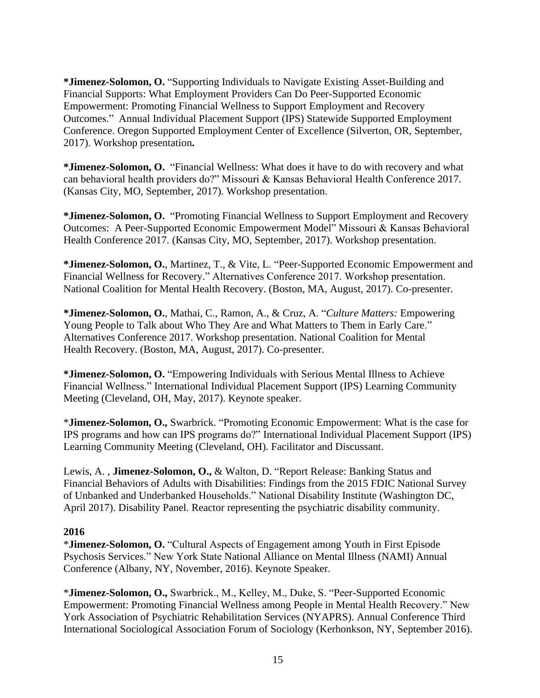**\*Jimenez-Solomon, O.** "Supporting Individuals to Navigate Existing Asset-Building and Financial Supports: What Employment Providers Can Do Peer-Supported Economic Empowerment: Promoting Financial Wellness to Support Employment and Recovery Outcomes." Annual Individual Placement Support (IPS) Statewide Supported Employment Conference. Oregon Supported Employment Center of Excellence (Silverton, OR, September, 2017). Workshop presentation**.** 

**\*Jimenez-Solomon, O.** "Financial Wellness: What does it have to do with recovery and what can behavioral health providers do?" Missouri & Kansas Behavioral Health Conference 2017. (Kansas City, MO, September, 2017). Workshop presentation.

**\*Jimenez-Solomon, O.** "Promoting Financial Wellness to Support Employment and Recovery Outcomes: A Peer-Supported Economic Empowerment Model" Missouri & Kansas Behavioral Health Conference 2017. (Kansas City, MO, September, 2017). Workshop presentation.

**\*Jimenez-Solomon, O.**, Martinez, T., & Vite, L. "Peer-Supported Economic Empowerment and Financial Wellness for Recovery." Alternatives Conference 2017. Workshop presentation. National Coalition for Mental Health Recovery. (Boston, MA, August, 2017). Co-presenter.

**\*Jimenez-Solomon, O.**, Mathai, C., Ramon, A., & Cruz, A. "*Culture Matters:* Empowering Young People to Talk about Who They Are and What Matters to Them in Early Care." Alternatives Conference 2017. Workshop presentation. National Coalition for Mental Health Recovery. (Boston, MA, August, 2017). Co-presenter.

**\*Jimenez-Solomon, O.** "Empowering Individuals with Serious Mental Illness to Achieve Financial Wellness." International Individual Placement Support (IPS) Learning Community Meeting (Cleveland, OH, May, 2017). Keynote speaker.

\***Jimenez-Solomon, O.,** Swarbrick. "Promoting Economic Empowerment: What is the case for IPS programs and how can IPS programs do?" International Individual Placement Support (IPS) Learning Community Meeting (Cleveland, OH). Facilitator and Discussant.

Lewis, A. , **Jimenez-Solomon, O.,** & Walton, D. "Report Release: Banking Status and Financial Behaviors of Adults with Disabilities: Findings from the 2015 FDIC National Survey of Unbanked and Underbanked Households." National Disability Institute (Washington DC, April 2017). Disability Panel. Reactor representing the psychiatric disability community.

#### **2016**

\***Jimenez-Solomon, O.** "Cultural Aspects of Engagement among Youth in First Episode Psychosis Services." New York State National Alliance on Mental Illness (NAMI) Annual Conference (Albany, NY, November, 2016). Keynote Speaker.

\***Jimenez-Solomon, O.,** Swarbrick., M., Kelley, M., Duke, S. "Peer-Supported Economic Empowerment: Promoting Financial Wellness among People in Mental Health Recovery." New York Association of Psychiatric Rehabilitation Services (NYAPRS). Annual Conference Third International Sociological Association Forum of Sociology (Kerhonkson, NY, September 2016).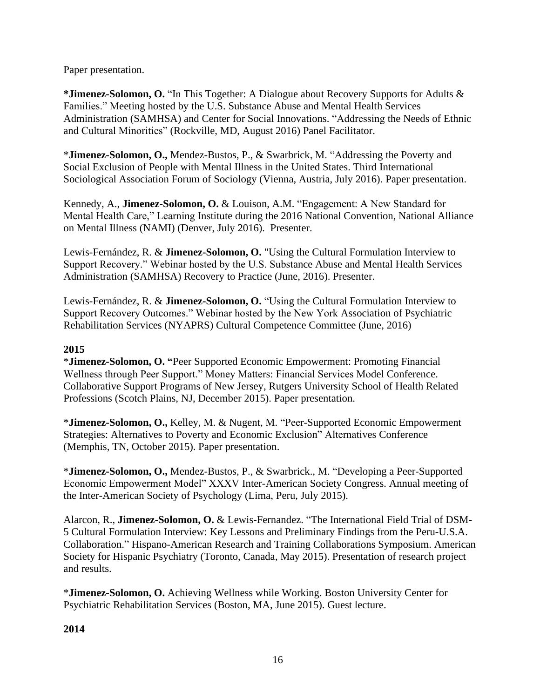Paper presentation.

**\*Jimenez-Solomon, O.** "In This Together: A Dialogue about Recovery Supports for Adults & Families." Meeting hosted by the U.S. Substance Abuse and Mental Health Services Administration (SAMHSA) and Center for Social Innovations. "Addressing the Needs of Ethnic and Cultural Minorities" (Rockville, MD, August 2016) Panel Facilitator.

\***Jimenez-Solomon, O.,** Mendez-Bustos, P., & Swarbrick, M. "Addressing the Poverty and Social Exclusion of People with Mental Illness in the United States. Third International Sociological Association Forum of Sociology (Vienna, Austria, July 2016). Paper presentation.

Kennedy, A., **Jimenez-Solomon, O.** & Louison, A.M. "Engagement: A New Standard for Mental Health Care," Learning Institute during the 2016 National Convention, National Alliance on Mental Illness (NAMI) (Denver, July 2016). Presenter.

Lewis-Fernández, R. & **Jimenez-Solomon, O.** "Using the Cultural Formulation Interview to Support Recovery." Webinar hosted by the U.S. Substance Abuse and Mental Health Services Administration (SAMHSA) Recovery to Practice (June, 2016). Presenter.

Lewis-Fernández, R. & **Jimenez-Solomon, O.** "Using the Cultural Formulation Interview to Support Recovery Outcomes." Webinar hosted by the New York Association of Psychiatric Rehabilitation Services (NYAPRS) Cultural Competence Committee (June, 2016)

## **2015**

\***Jimenez-Solomon, O. "**Peer Supported Economic Empowerment: Promoting Financial Wellness through Peer Support." Money Matters: Financial Services Model Conference. Collaborative Support Programs of New Jersey, Rutgers University School of Health Related Professions (Scotch Plains, NJ, December 2015). Paper presentation.

\***Jimenez-Solomon, O.,** Kelley, M. & Nugent, M. "Peer-Supported Economic Empowerment Strategies: Alternatives to Poverty and Economic Exclusion" Alternatives Conference (Memphis, TN, October 2015). Paper presentation.

\***Jimenez-Solomon, O.,** Mendez-Bustos, P., & Swarbrick., M. "Developing a Peer-Supported Economic Empowerment Model" XXXV Inter-American Society Congress. Annual meeting of the Inter-American Society of Psychology (Lima, Peru, July 2015).

Alarcon, R., **Jimenez-Solomon, O.** & Lewis-Fernandez. "The International Field Trial of DSM-5 Cultural Formulation Interview: Key Lessons and Preliminary Findings from the Peru-U.S.A. Collaboration." Hispano-American Research and Training Collaborations Symposium. American Society for Hispanic Psychiatry (Toronto, Canada, May 2015). Presentation of research project and results.

\***Jimenez-Solomon, O.** Achieving Wellness while Working. Boston University Center for Psychiatric Rehabilitation Services (Boston, MA, June 2015). Guest lecture.

**2014**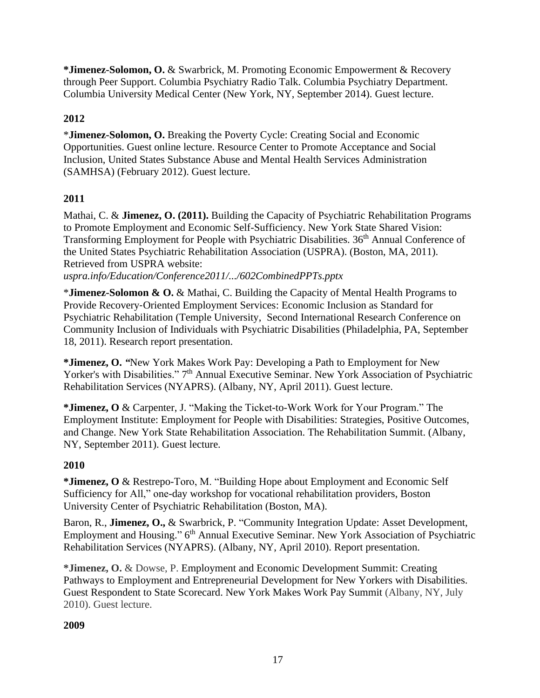**\*Jimenez-Solomon, O.** & Swarbrick, M. [Promoting Economic Empowerment &](http://columbiapsychiatry.org/videos/promoting-economic-empowerment-recovery-through-peer-support) Recovery [through Peer Support.](http://columbiapsychiatry.org/videos/promoting-economic-empowerment-recovery-through-peer-support) Columbia Psychiatry Radio Talk. Columbia Psychiatry Department. Columbia University Medical Center (New York, NY, September 2014). Guest lecture.

## **2012**

\***Jimenez-Solomon, O.** Breaking the Poverty Cycle: Creating Social and Economic Opportunities. Guest online lecture. Resource Center to Promote Acceptance and Social Inclusion, United States Substance Abuse and Mental Health Services Administration (SAMHSA) (February 2012). Guest lecture.

## **2011**

Mathai, C. & **Jimenez, O. (2011).** Building the Capacity of Psychiatric Rehabilitation Programs to Promote Employment and Economic Self-Sufficiency. New York State Shared Vision: Transforming Employment for People with Psychiatric Disabilities. 36<sup>th</sup> Annual Conference of the United States Psychiatric Rehabilitation Association (USPRA). (Boston, MA, 2011). Retrieved from USPRA website:

*uspra.info/Education/Conference2011/.../602CombinedPPTs.pptx*

\***Jimenez-Solomon & O.** & Mathai, C. [Building the Capacity of Mental Health Programs to](http://www.tucollaborative.org/events/conference_agenda.html)  Provide Recovery‐[Oriented Employment Services: Economic Inclusion as Standard for](http://www.tucollaborative.org/events/conference_agenda.html)  [Psychiatric Rehabilitation \(Temple University, Second International Research Conference on](http://www.tucollaborative.org/events/conference_agenda.html)  Community Inclusion of Individuals with Psychiatric [Disabilities \(Philadelphia, PA, September](http://www.tucollaborative.org/events/conference_agenda.html)  [18, 2011\).](http://www.tucollaborative.org/events/conference_agenda.html) Research report presentation.

**\*Jimenez, O.** *"*New York Makes Work Pay: Developing a Path to Employment for New Yorker's with Disabilities." 7<sup>th</sup> Annual Executive Seminar. New York Association of Psychiatric Rehabilitation Services (NYAPRS). (Albany, NY, April 2011). Guest lecture.

**\*Jimenez, O** & Carpenter, J. "Making the Ticket-to-Work Work for Your Program." The Employment Institute: Employment for People with Disabilities: Strategies, Positive Outcomes, and Change. New York State Rehabilitation Association. The Rehabilitation Summit. (Albany, NY, September 2011). Guest lecture.

## **2010**

**\*Jimenez, O** & Restrepo-Toro, M. "Building Hope about Employment and Economic Self Sufficiency for All," one-day workshop for vocational rehabilitation providers, Boston University Center of Psychiatric Rehabilitation (Boston, MA).

Baron, R., **Jimenez, O.,** & Swarbrick, P. "Community Integration Update: Asset Development, Employment and Housing." 6<sup>th</sup> Annual Executive Seminar. New York Association of Psychiatric Rehabilitation Services (NYAPRS). (Albany, NY, April 2010). Report presentation.

**\*Jimenez, O.** & Dowse, P. Employment and Economic Development Summit: Creating Pathways to Employment and Entrepreneurial Development for New Yorkers with Disabilities. Guest Respondent to State Scorecard. New York Makes Work Pay Summit (Albany, NY, July 2010). Guest lecture.

## **2009**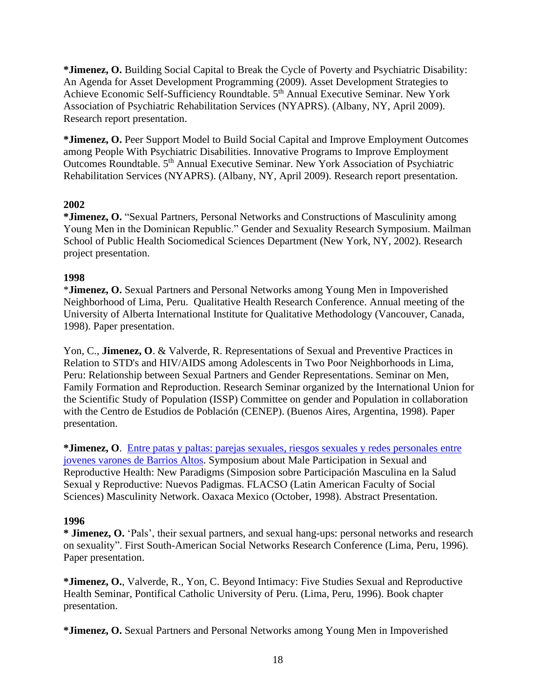**\*Jimenez, O.** Building Social [Capital to Break the Cycle of Poverty and Psychiatric Disability:](http://tucollaborative.org/pdfs/Toolkits_Monographs_Guidebooks/community_inclusion/NYAPRS_Proceedings.pdf)  [An Agenda for Asset Development Programming \(2009\).](http://tucollaborative.org/pdfs/Toolkits_Monographs_Guidebooks/community_inclusion/NYAPRS_Proceedings.pdf) Asset Development Strategies to Achieve Economic Self-Sufficiency Roundtable. 5<sup>th</sup> Annual Executive Seminar. New York Association of Psychiatric Rehabilitation Services (NYAPRS). (Albany, NY, April 2009). Research report presentation.

**\*Jimenez, O.** Peer Support Model to Build Social Capital and Improve Employment Outcomes among People With Psychiatric Disabilities. Innovative Programs to Improve Employment Outcomes Roundtable. 5th Annual Executive Seminar. New York Association of Psychiatric Rehabilitation Services (NYAPRS). (Albany, NY, April 2009). Research report presentation.

### **2002**

**\*Jimenez, O.** "Sexual Partners, Personal Networks and Constructions of Masculinity among Young Men in the Dominican Republic." Gender and Sexuality Research Symposium. Mailman School of Public Health Sociomedical Sciences Department (New York, NY, 2002). Research project presentation.

## **1998**

\***Jimenez, O.** Sexual Partners and Personal Networks among Young Men in Impoverished Neighborhood of Lima, Peru. Qualitative Health Research Conference. Annual meeting of the University of Alberta International Institute for Qualitative Methodology (Vancouver, Canada, 1998). Paper presentation.

Yon, C., **Jimenez, O**. & Valverde, R. Representations of Sexual and Preventive Practices in Relation to STD's and HIV/AIDS among Adolescents in Two Poor Neighborhoods in Lima, Peru: Relationship between Sexual Partners and Gender Representations. Seminar on Men, Family Formation and Reproduction. Research Seminar organized by the International Union for the Scientific Study of Population (ISSP) Committee on gender and Population in collaboration with the Centro de Estudios de Población (CENEP). (Buenos Aires, Argentina, 1998). Paper presentation.

**\*Jimenez, O**. [Entre patas y paltas: parejas sexuales, riesgos sexuales](http://www.xyonline.net/sites/default/files/AVSC,%20Literature%20review%20for%20Symposium.pdf) y redes personales entre jovenes varones [de Barrios Altos.](http://www.xyonline.net/sites/default/files/AVSC,%20Literature%20review%20for%20Symposium.pdf) Symposium about Male Participation in Sexual and Reproductive Health: New Paradigms (Simposion sobre Participación Masculina en la Salud Sexual y Reproductive: Nuevos Padigmas. FLACSO (Latin American Faculty of Social Sciences) Masculinity Network. Oaxaca Mexico (October, 1998). Abstract Presentation.

### **1996**

**\* Jimenez, O.** 'Pals', their sexual partners, and sexual hang-ups: personal networks and research on sexuality". First South-American Social Networks Research Conference (Lima, Peru, 1996). Paper presentation.

**\*Jimenez, O.**, Valverde, R., Yon, C. Beyond Intimacy: Five Studies Sexual and Reproductive Health Seminar, Pontifical Catholic University of Peru. (Lima, Peru, 1996). Book chapter presentation.

**\*Jimenez, O.** Sexual Partners and Personal Networks among Young Men in Impoverished